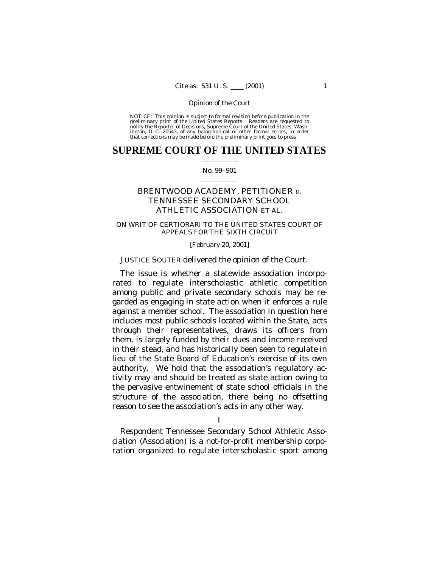NOTICE: This opinion is subject to formal revision before publication in the preliminary print of the United States Reports. Readers are requested to notify the Reporter of Decisions, Supreme Court of the United States, Wa

## **SUPREME COURT OF THE UNITED STATES**  $\overline{\phantom{a}}$  , where  $\overline{\phantom{a}}$

#### No. 99–901  $\overline{\phantom{a}}$  , where  $\overline{\phantom{a}}$

## BRENTWOOD ACADEMY, PETITIONER *v.* TENNESSEE SECONDARY SCHOOL ATHLETIC ASSOCIATION ET AL.

## ON WRIT OF CERTIORARI TO THE UNITED STATES COURT OF APPEALS FOR THE SIXTH CIRCUIT

## [February 20, 2001]

## JUSTICE SOUTER delivered the opinion of the Court.

The issue is whether a statewide association incorporated to regulate interscholastic athletic competition among public and private secondary schools may be regarded as engaging in state action when it enforces a rule against a member school. The association in question here includes most public schools located within the State, acts through their representatives, draws its officers from them, is largely funded by their dues and income received in their stead, and has historically been seen to regulate in lieu of the State Board of Education's exercise of its own authority. We hold that the association's regulatory activity may and should be treated as state action owing to the pervasive entwinement of state school officials in the structure of the association, there being no offsetting reason to see the association's acts in any other way.

I

Respondent Tennessee Secondary School Athletic Association (Association) is a not-for-profit membership corporation organized to regulate interscholastic sport among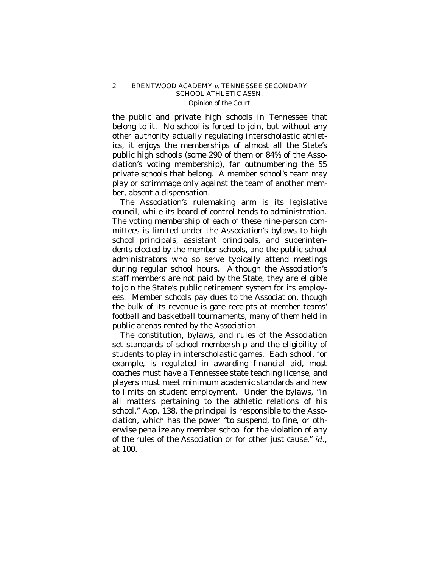the public and private high schools in Tennessee that belong to it. No school is forced to join, but without any other authority actually regulating interscholastic athletics, it enjoys the memberships of almost all the State's public high schools (some 290 of them or 84% of the Association's voting membership), far outnumbering the 55 private schools that belong. A member school's team may play or scrimmage only against the team of another member, absent a dispensation.

The Association's rulemaking arm is its legislative council, while its board of control tends to administration. The voting membership of each of these nine-person committees is limited under the Association's bylaws to high school principals, assistant principals, and superintendents elected by the member schools, and the public school administrators who so serve typically attend meetings during regular school hours. Although the Association's staff members are not paid by the State, they are eligible to join the State's public retirement system for its employees. Member schools pay dues to the Association, though the bulk of its revenue is gate receipts at member teams' football and basketball tournaments, many of them held in public arenas rented by the Association.

The constitution, bylaws, and rules of the Association set standards of school membership and the eligibility of students to play in interscholastic games. Each school, for example, is regulated in awarding financial aid, most coaches must have a Tennessee state teaching license, and players must meet minimum academic standards and hew to limits on student employment. Under the bylaws, "in all matters pertaining to the athletic relations of his school," App. 138, the principal is responsible to the Association, which has the power "to suspend, to fine, or otherwise penalize any member school for the violation of any of the rules of the Association or for other just cause," *id.*, at 100.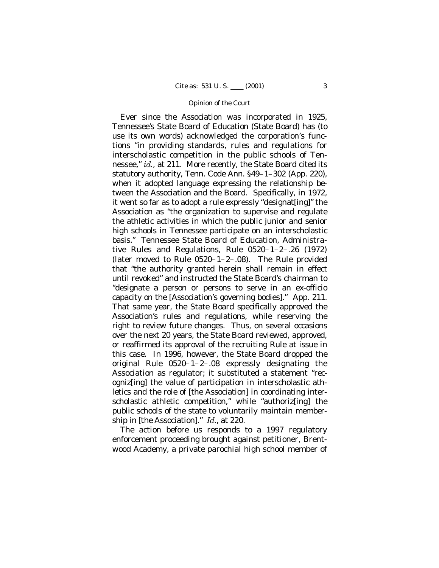Ever since the Association was incorporated in 1925, Tennessee's State Board of Education (State Board) has (to use its own words) acknowledged the corporation's functions "in providing standards, rules and regulations for interscholastic competition in the public schools of Tennessee,"*id.*, at 211. More recently, the State Board cited its statutory authority, Tenn. Code Ann. §49–1–302 (App. 220), when it adopted language expressing the relationship between the Association and the Board. Specifically, in 1972, it went so far as to adopt a rule expressly "designat[ing]" the Association as "the organization to supervise and regulate the athletic activities in which the public junior and senior high schools in Tennessee participate on an interscholastic basis." Tennessee State Board of Education, Administrative Rules and Regulations, Rule 0520–1–2–.26 (1972) (later moved to Rule 0520–1–2–.08). The Rule provided that "the authority granted herein shall remain in effect until revoked" and instructed the State Board's chairman to "designate a person or persons to serve in an ex-officio capacity on the [Association's governing bodies]." App. 211. That same year, the State Board specifically approved the Association's rules and regulations, while reserving the right to review future changes. Thus, on several occasions over the next 20 years, the State Board reviewed, approved, or reaffirmed its approval of the recruiting Rule at issue in this case. In 1996, however, the State Board dropped the original Rule 0520–1–2–.08 expressly designating the Association as regulator; it substituted a statement "recogniz[ing] the value of participation in interscholastic athletics and the role of [the Association] in coordinating interscholastic athletic competition," while "authoriz[ing] the public schools of the state to voluntarily maintain membership in [the Association]." *Id.*, at 220.

The action before us responds to a 1997 regulatory enforcement proceeding brought against petitioner, Brentwood Academy, a private parochial high school member of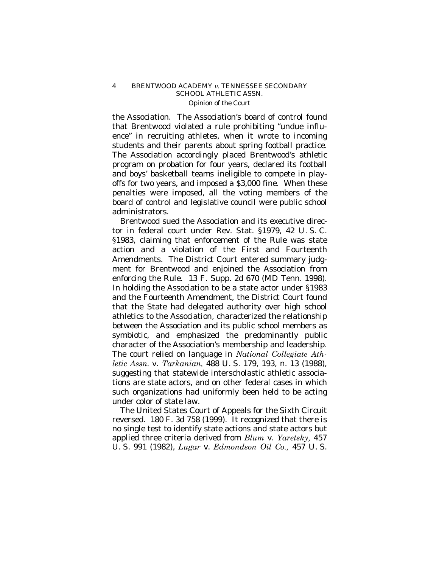the Association. The Association's board of control found that Brentwood violated a rule prohibiting "undue influence" in recruiting athletes, when it wrote to incoming students and their parents about spring football practice. The Association accordingly placed Brentwood's athletic program on probation for four years, declared its football and boys' basketball teams ineligible to compete in playoffs for two years, and imposed a \$3,000 fine. When these penalties were imposed, all the voting members of the board of control and legislative council were public school administrators.

Brentwood sued the Association and its executive director in federal court under Rev. Stat. §1979, 42 U. S. C. §1983, claiming that enforcement of the Rule was state action and a violation of the First and Fourteenth Amendments. The District Court entered summary judgment for Brentwood and enjoined the Association from enforcing the Rule. 13 F. Supp. 2d 670 (MD Tenn. 1998). In holding the Association to be a state actor under §1983 and the Fourteenth Amendment, the District Court found that the State had delegated authority over high school athletics to the Association, characterized the relationship between the Association and its public school members as symbiotic, and emphasized the predominantly public character of the Association's membership and leadership. The court relied on language in *National Collegiate Athletic Assn.* v. *Tarkanian,* 488 U. S. 179, 193, n. 13 (1988), suggesting that statewide interscholastic athletic associations are state actors, and on other federal cases in which such organizations had uniformly been held to be acting under color of state law.

The United States Court of Appeals for the Sixth Circuit reversed. 180 F. 3d 758 (1999). It recognized that there is no single test to identify state actions and state actors but applied three criteria derived from *Blum* v. *Yaretsky,* 457 U. S. 991 (1982), *Lugar* v. *Edmondson Oil Co.,* 457 U. S.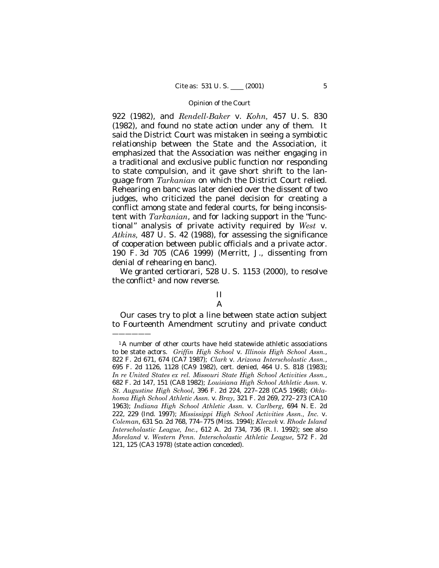922 (1982), and *Rendell-Baker* v. *Kohn,* 457 U. S. 830 (1982), and found no state action under any of them. It said the District Court was mistaken in seeing a symbiotic relationship between the State and the Association, it emphasized that the Association was neither engaging in a traditional and exclusive public function nor responding to state compulsion, and it gave short shrift to the language from *Tarkanian* on which the District Court relied. Rehearing en banc was later denied over the dissent of two judges, who criticized the panel decision for creating a conflict among state and federal courts, for being inconsistent with *Tarkanian*, and for lacking support in the "functional" analysis of private activity required by *West* v. *Atkins,* 487 U. S. 42 (1988), for assessing the significance of cooperation between public officials and a private actor. 190 F. 3d 705 (CA6 1999) (Merritt, J., dissenting from denial of rehearing en banc).

We granted certiorari, 528 U. S. 1153 (2000), to resolve the conflict<sup>1</sup> and now reverse.

# II

A

Our cases try to plot a line between state action subject to Fourteenth Amendment scrutiny and private conduct ——————

<sup>&</sup>lt;sup>1</sup>A number of other courts have held statewide athletic associations to be state actors. *Griffin High School* v. *Illinois High School Assn.*, 822 F. 2d 671, 674 (CA7 1987); *Clark* v. *Arizona Interscholastic Assn.*, 695 F. 2d 1126, 1128 (CA9 1982), cert. denied, 464 U. S. 818 (1983); *In re United States ex rel. Missouri State High School Activities Assn.*, 682 F. 2d 147, 151 (CA8 1982); *Louisiana High School Athletic Assn.* v. *St. Augustine High School*, 396 F. 2d 224, 227–228 (CA5 1968); *Oklahoma High School Athletic Assn.* v. *Bray*, 321 F. 2d 269, 272–273 (CA10 1963); *Indiana High School Athletic Assn.* v. *Carlberg*, 694 N. E. 2d 222, 229 (Ind. 1997); *Mississippi High School Activities Assn., Inc.* v. *Coleman*, 631 So. 2d 768, 774–775 (Miss. 1994); *Kleczek* v. *Rhode Island Interscholastic League, Inc.*, 612 A. 2d 734, 736 (R. I. 1992); see also *Moreland* v. *Western Penn. Interscholastic Athletic League*, 572 F. 2d 121, 125 (CA3 1978) (state action conceded).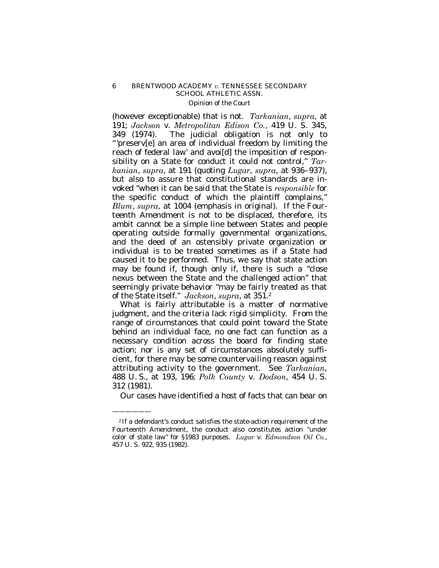(however exceptionable) that is not. *Tarkanian*, *supra*, at 191; *Jackson* v. *Metropolitan Edison Co.*, 419 U. S. 345, 349 (1974). The judicial obligation is not only to "'preserv[e] an area of individual freedom by limiting the reach of federal law' and avoi[d] the imposition of responsibility on a State for conduct it could not control," *Tarkanian*, *supra*, at 191 (quoting *Lugar*, *supra*, at 936–937), but also to assure that constitutional standards are invoked "when it can be said that the State is *responsible* for the specific conduct of which the plaintiff complains," *Blum*, *supra*, at 1004 (emphasis in original). If the Fourteenth Amendment is not to be displaced, therefore, its ambit cannot be a simple line between States and people operating outside formally governmental organizations, and the deed of an ostensibly private organization or individual is to be treated sometimes as if a State had caused it to be performed. Thus, we say that state action may be found if, though only if, there is such a "close nexus between the State and the challenged action" that seemingly private behavior "may be fairly treated as that of the State itself." *Jackson*, *supra*, at 351.<sup>2</sup>

What is fairly attributable is a matter of normative judgment, and the criteria lack rigid simplicity. From the range of circumstances that could point toward the State behind an individual face, no one fact can function as a necessary condition across the board for finding state action; nor is any set of circumstances absolutely sufficient, for there may be some countervailing reason against attributing activity to the government. See *Tarkanian*, 488 U. S., at 193, 196; *Polk County* v. *Dodson*, 454 U. S. 312 (1981).

Our cases have identified a host of facts that can bear on

——————

<sup>2</sup> If a defendant's conduct satisfies the state-action requirement of the Fourteenth Amendment, the conduct also constitutes action "under color of state law" for §1983 purposes. *Lugar* v. *Edmondson Oil Co.*, 457 U. S. 922, 935 (1982).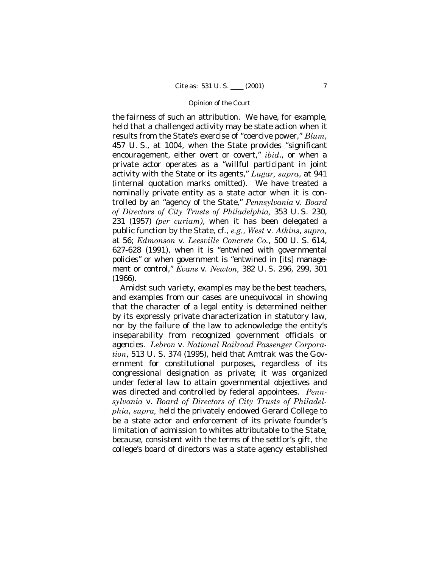the fairness of such an attribution. We have, for example, held that a challenged activity may be state action when it results from the State's exercise of "coercive power," *Blum*, 457 U. S., at 1004, when the State provides "significant encouragement, either overt or covert," *ibid*., or when a private actor operates as a "willful participant in joint activity with the State or its agents," *Lugar, supra*, at 941 (internal quotation marks omitted). We have treated a nominally private entity as a state actor when it is controlled by an "agency of the State," *Pennsylvania* v. *Board of Directors of City Trusts of Philadelphia,* 353 U. S. 230, 231 (1957) *(per curiam)*, when it has been delegated a public function by the State, cf., *e.g.*, *West* v. *Atkins*, *supra*, at 56; *Edmonson* v. *Leesville Concrete Co.*, 500 U. S. 614, 627-628 (1991), when it is "entwined with governmental policies" or when government is "entwined in [its] management or control," *Evans* v. *Newton,* 382 U. S. 296, 299, 301 (1966).

Amidst such variety, examples may be the best teachers, and examples from our cases are unequivocal in showing that the character of a legal entity is determined neither by its expressly private characterization in statutory law, nor by the failure of the law to acknowledge the entity's inseparability from recognized government officials or agencies. *Lebron* v. *National Railroad Passenger Corporation*, 513 U. S. 374 (1995), held that Amtrak was the Government for constitutional purposes, regardless of its congressional designation as private; it was organized under federal law to attain governmental objectives and was directed and controlled by federal appointees. *Pennsylvania* v. *Board of Directors of City Trusts of Philadelphia*, *supra,* held the privately endowed Gerard College to be a state actor and enforcement of its private founder's limitation of admission to whites attributable to the State, because, consistent with the terms of the settlor's gift, the college's board of directors was a state agency established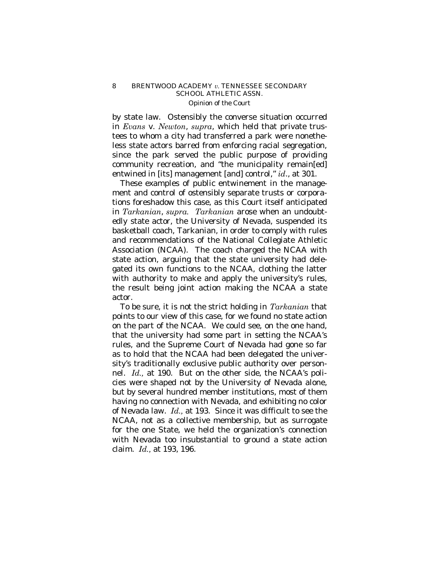by state law. Ostensibly the converse situation occurred in *Evans* v. *Newton*, *supra*, which held that private trustees to whom a city had transferred a park were nonetheless state actors barred from enforcing racial segregation, since the park served the public purpose of providing community recreation, and "the municipality remain[ed] entwined in [its] management [and] control," *id*., at 301.

These examples of public entwinement in the management and control of ostensibly separate trusts or corporations foreshadow this case, as this Court itself anticipated in *Tarkanian*, *supra. Tarkanian* arose when an undoubtedly state actor, the University of Nevada, suspended its basketball coach, Tarkanian, in order to comply with rules and recommendations of the National Collegiate Athletic Association (NCAA). The coach charged the NCAA with state action, arguing that the state university had delegated its own functions to the NCAA, clothing the latter with authority to make and apply the university's rules, the result being joint action making the NCAA a state actor.

To be sure, it is not the strict holding in *Tarkanian* that points to our view of this case, for we found no state action on the part of the NCAA. We could see, on the one hand, that the university had some part in setting the NCAA's rules, and the Supreme Court of Nevada had gone so far as to hold that the NCAA had been delegated the university's traditionally exclusive public authority over personnel. *Id.,* at 190. But on the other side, the NCAA's policies were shaped not by the University of Nevada alone, but by several hundred member institutions, most of them having no connection with Nevada, and exhibiting no color of Nevada law. *Id.,* at 193. Since it was difficult to see the NCAA, not as a collective membership, but as surrogate for the one State, we held the organization's connection with Nevada too insubstantial to ground a state action claim. *Id.,* at 193, 196.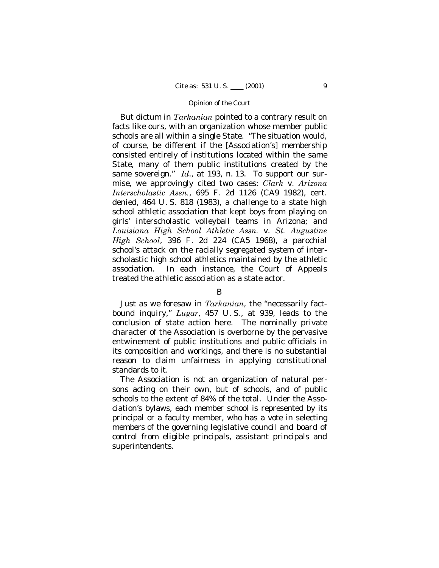But dictum in *Tarkanian* pointed to a contrary result on facts like ours, with an organization whose member public schools are all within a single State. "The situation would, of course, be different if the [Association's] membership consisted entirely of institutions located within the same State, many of them public institutions created by the same sovereign." *Id*., at 193, n. 13. To support our surmise, we approvingly cited two cases: *Clark* v. *Arizona Interscholastic Assn.*, 695 F. 2d 1126 (CA9 1982), cert. denied, 464 U. S. 818 (1983), a challenge to a state high school athletic association that kept boys from playing on girls' interscholastic volleyball teams in Arizona; and *Louisiana High School Athletic Assn.* v. *St. Augustine High School*, 396 F. 2d 224 (CA5 1968), a parochial school's attack on the racially segregated system of interscholastic high school athletics maintained by the athletic association. In each instance, the Court of Appeals treated the athletic association as a state actor.

## B

Just as we foresaw in *Tarkanian*, the "necessarily factbound inquiry," *Lugar*, 457 U. S., at 939, leads to the conclusion of state action here. The nominally private character of the Association is overborne by the pervasive entwinement of public institutions and public officials in its composition and workings, and there is no substantial reason to claim unfairness in applying constitutional standards to it.

The Association is not an organization of natural persons acting on their own, but of schools, and of public schools to the extent of 84% of the total. Under the Association's bylaws, each member school is represented by its principal or a faculty member, who has a vote in selecting members of the governing legislative council and board of control from eligible principals, assistant principals and superintendents.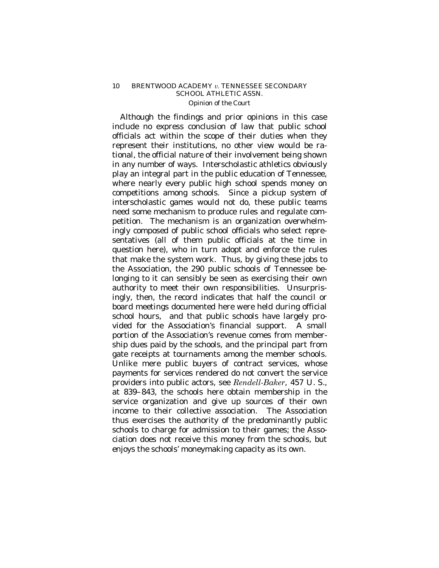Although the findings and prior opinions in this case include no express conclusion of law that public school officials act within the scope of their duties when they represent their institutions, no other view would be rational, the official nature of their involvement being shown in any number of ways. Interscholastic athletics obviously play an integral part in the public education of Tennessee, where nearly every public high school spends money on competitions among schools. Since a pickup system of interscholastic games would not do, these public teams need some mechanism to produce rules and regulate competition. The mechanism is an organization overwhelmingly composed of public school officials who select representatives (all of them public officials at the time in question here), who in turn adopt and enforce the rules that make the system work. Thus, by giving these jobs to the Association, the 290 public schools of Tennessee belonging to it can sensibly be seen as exercising their own authority to meet their own responsibilities. Unsurprisingly, then, the record indicates that half the council or board meetings documented here were held during official school hours, and that public schools have largely provided for the Association's financial support. A small portion of the Association's revenue comes from membership dues paid by the schools, and the principal part from gate receipts at tournaments among the member schools. Unlike mere public buyers of contract services, whose payments for services rendered do not convert the service providers into public actors, see *Rendell-Baker*, 457 U. S., at 839–843, the schools here obtain membership in the service organization and give up sources of their own income to their collective association. The Association thus exercises the authority of the predominantly public schools to charge for admission to their games; the Association does not receive this money from the schools, but enjoys the schools' moneymaking capacity as its own.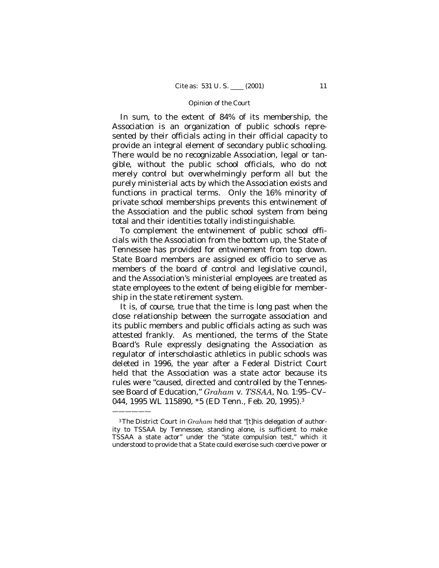In sum, to the extent of 84% of its membership, the Association is an organization of public schools represented by their officials acting in their official capacity to provide an integral element of secondary public schooling. There would be no recognizable Association, legal or tangible, without the public school officials, who do not merely control but overwhelmingly perform all but the purely ministerial acts by which the Association exists and functions in practical terms. Only the 16% minority of private school memberships prevents this entwinement of the Association and the public school system from being total and their identities totally indistinguishable.

To complement the entwinement of public school officials with the Association from the bottom up, the State of Tennessee has provided for entwinement from top down. State Board members are assigned ex officio to serve as members of the board of control and legislative council, and the Association's ministerial employees are treated as state employees to the extent of being eligible for membership in the state retirement system.

It is, of course, true that the time is long past when the close relationship between the surrogate association and its public members and public officials acting as such was attested frankly. As mentioned, the terms of the State Board's Rule expressly designating the Association as regulator of interscholastic athletics in public schools was deleted in 1996, the year after a Federal District Court held that the Association was a state actor because its rules were "caused, directed and controlled by the Tennessee Board of Education," *Graham* v. *TSSAA*, No. 1:95–CV– 044, 1995 WL 115890, \*5 (ED Tenn., Feb. 20, 1995).<sup>3</sup>

——————

<sup>3</sup>The District Court in *Graham* held that "[t]his delegation of authority to TSSAA by Tennessee, standing alone, is sufficient to make TSSAA a state actor" under the "state compulsion test," which it understood to provide that a State could exercise such coercive power or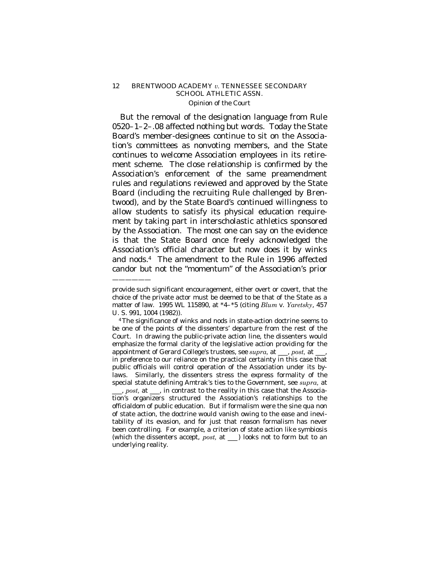But the removal of the designation language from Rule 0520–1–2–.08 affected nothing but words. Today the State Board's member-designees continue to sit on the Association's committees as nonvoting members, and the State continues to welcome Association employees in its retirement scheme. The close relationship is confirmed by the Association's enforcement of the same preamendment rules and regulations reviewed and approved by the State Board (including the recruiting Rule challenged by Brentwood), and by the State Board's continued willingness to allow students to satisfy its physical education requirement by taking part in interscholastic athletics sponsored by the Association. The most one can say on the evidence is that the State Board once freely acknowledged the Association's official character but now does it by winks and nods.<sup>4</sup> The amendment to the Rule in 1996 affected candor but not the "momentum" of the Association's prior

——————

<sup>4</sup>The significance of winks and nods in state-action doctrine seems to be one of the points of the dissenters' departure from the rest of the Court. In drawing the public-private action line, the dissenters would emphasize the formal clarity of the legislative action providing for the appointment of Gerard College's trustees, see *supra,* at \_\_\_, *post,* at \_\_\_, in preference to our reliance on the practical certainty in this case that public officials will control operation of the Association under its bylaws. Similarly, the dissenters stress the express formality of the special statute defining Amtrak's ties to the Government, see *supra,* at \_\_\_, *post,* at \_\_\_, in contrast to the reality in this case that the Association's organizers structured the Association's relationships to the officialdom of public education. But if formalism were the sine qua non of state action, the doctrine would vanish owing to the ease and inevitability of its evasion, and for just that reason formalism has never been controlling. For example, a criterion of state action like symbiosis (which the dissenters accept, *post,* at \_\_\_) looks not to form but to an underlying reality.

provide such significant encouragement, either overt or covert, that the choice of the private actor must be deemed to be that of the State as a matter of law. 1995 WL 115890, at \*4–\*5 (citing *Blum* v. *Yaretsky*, 457 U. S. 991, 1004 (1982)).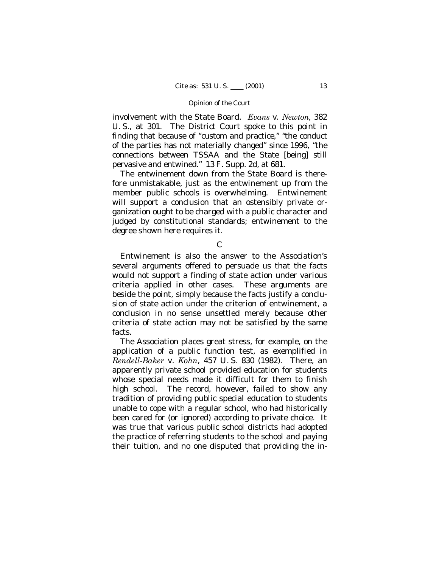involvement with the State Board. *Evans* v. *Newton,* 382 U. S., at 301. The District Court spoke to this point in finding that because of "custom and practice," "the conduct of the parties has not materially changed" since 1996, "the connections between TSSAA and the State [being] still pervasive and entwined." 13 F. Supp. 2d, at 681.

The entwinement down from the State Board is therefore unmistakable, just as the entwinement up from the member public schools is overwhelming. Entwinement will support a conclusion that an ostensibly private organization ought to be charged with a public character and judged by constitutional standards; entwinement to the degree shown here requires it.

 $\mathcal{C}$ 

Entwinement is also the answer to the Association's several arguments offered to persuade us that the facts would not support a finding of state action under various criteria applied in other cases. These arguments are beside the point, simply because the facts justify a conclusion of state action under the criterion of entwinement, a conclusion in no sense unsettled merely because other criteria of state action may not be satisfied by the same facts.

The Association places great stress, for example, on the application of a public function test, as exemplified in *Rendell-Baker* v. *Kohn*, 457 U. S. 830 (1982). There, an apparently private school provided education for students whose special needs made it difficult for them to finish high school. The record, however, failed to show any tradition of providing public special education to students unable to cope with a regular school, who had historically been cared for (or ignored) according to private choice. It was true that various public school districts had adopted the practice of referring students to the school and paying their tuition, and no one disputed that providing the in-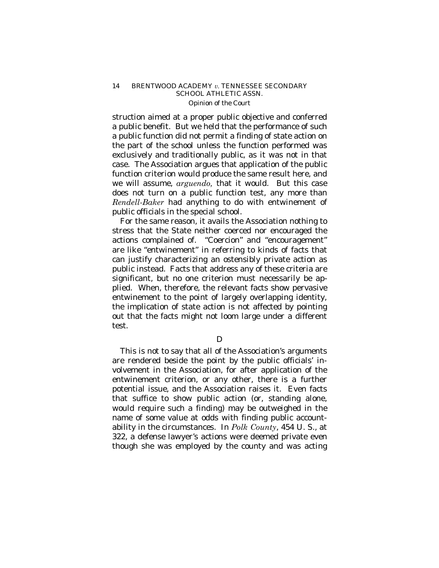struction aimed at a proper public objective and conferred a public benefit. But we held that the performance of such a public function did not permit a finding of state action on the part of the school unless the function performed was exclusively and traditionally public, as it was not in that case. The Association argues that application of the public function criterion would produce the same result here, and we will assume, *arguendo,* that it would. But this case does not turn on a public function test, any more than *Rendell-Baker* had anything to do with entwinement of public officials in the special school.

For the same reason, it avails the Association nothing to stress that the State neither coerced nor encouraged the actions complained of. "Coercion" and "encouragement" are like "entwinement" in referring to kinds of facts that can justify characterizing an ostensibly private action as public instead. Facts that address any of these criteria are significant, but no one criterion must necessarily be applied. When, therefore, the relevant facts show pervasive entwinement to the point of largely overlapping identity, the implication of state action is not affected by pointing out that the facts might not loom large under a different test.

D

This is not to say that all of the Association's arguments are rendered beside the point by the public officials' involvement in the Association, for after application of the entwinement criterion, or any other, there is a further potential issue, and the Association raises it. Even facts that suffice to show public action (or, standing alone, would require such a finding) may be outweighed in the name of some value at odds with finding public accountability in the circumstances. In *Polk County*, 454 U. S., at 322, a defense lawyer's actions were deemed private even though she was employed by the county and was acting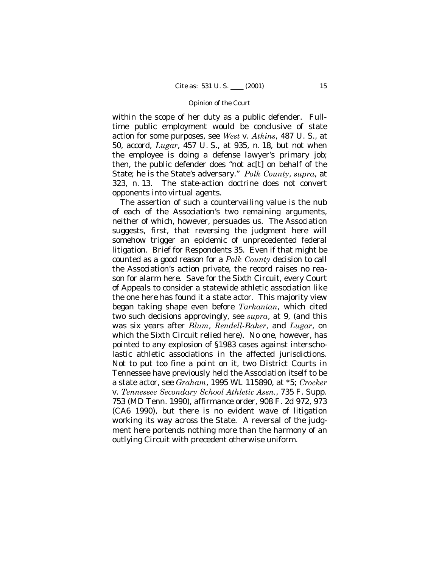within the scope of her duty as a public defender. Fulltime public employment would be conclusive of state action for some purposes, see *West* v. *Atkins*, 487 U. S., at 50, accord, *Lugar*, 457 U. S., at 935, n. 18, but not when the employee is doing a defense lawyer's primary job; then, the public defender does "not ac[t] on behalf of the State; he is the State's adversary." *Polk County*, *supra*, at 323, n. 13. The state-action doctrine does not convert opponents into virtual agents.

The assertion of such a countervailing value is the nub of each of the Association's two remaining arguments, neither of which, however, persuades us. The Association suggests, first, that reversing the judgment here will somehow trigger an epidemic of unprecedented federal litigation. Brief for Respondents 35. Even if that might be counted as a good reason for a *Polk County* decision to call the Association's action private, the record raises no reason for alarm here. Save for the Sixth Circuit, every Court of Appeals to consider a statewide athletic association like the one here has found it a state actor. This majority view began taking shape even before *Tarkanian*, which cited two such decisions approvingly, see *supra*, at 9, (and this was six years after *Blum*, *Rendell-Baker*, and *Lugar*, on which the Sixth Circuit relied here). No one, however, has pointed to any explosion of §1983 cases against interscholastic athletic associations in the affected jurisdictions. Not to put too fine a point on it, two District Courts in Tennessee have previously held the Association itself to be a state actor, see *Graham*, 1995 WL 115890, at \*5; *Crocker* v. *Tennessee Secondary School Athletic Assn.*, 735 F. Supp. 753 (MD Tenn. 1990), affirmance order, 908 F. 2d 972, 973 (CA6 1990), but there is no evident wave of litigation working its way across the State. A reversal of the judgment here portends nothing more than the harmony of an outlying Circuit with precedent otherwise uniform.